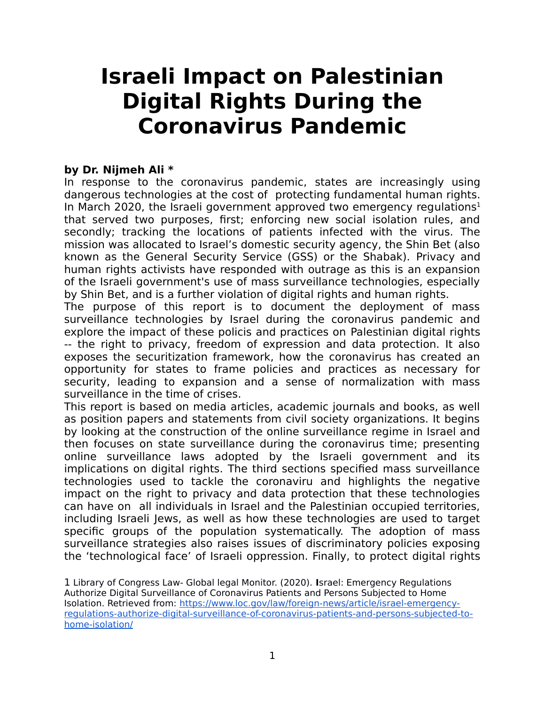# **Israeli Impact on Palestinian Digital Rights During the Coronavirus Pandemic**

## **by Dr. Nijmeh Ali \***

In response to the coronavirus pandemic, states are increasingly using dangerous technologies at the cost of protecting fundamental human rights. In March 2020, the Israeli government approved two emergency regulations<sup>[1](#page-0-0)</sup> that served two purposes, first; enforcing new social isolation rules, and secondly; tracking the locations of patients infected with the virus. The mission was allocated to Israel's domestic security agency, the Shin Bet (also known as the General Security Service (GSS) or the Shabak). Privacy and human rights activists have responded with outrage as this is an expansion of the Israeli government's use of mass surveillance technologies, especially by Shin Bet, and is a further violation of digital rights and human rights.

The purpose of this report is to document the deployment of mass surveillance technologies by Israel during the coronavirus pandemic and explore the impact of these policis and practices on Palestinian digital rights -- the right to privacy, freedom of expression and data protection. It also exposes the securitization framework, how the coronavirus has created an opportunity for states to frame policies and practices as necessary for security, leading to expansion and a sense of normalization with mass surveillance in the time of crises.

This report is based on media articles, academic journals and books, as well as position papers and statements from civil society organizations. It begins by looking at the construction of the online surveillance regime in Israel and then focuses on state surveillance during the coronavirus time; presenting online surveillance laws adopted by the Israeli government and its implications on digital rights. The third sections specified mass surveillance technologies used to tackle the coronaviru and highlights the negative impact on the right to privacy and data protection that these technologies can have on all individuals in Israel and the Palestinian occupied territories, including Israeli Jews, as well as how these technologies are used to target specific groups of the population systematically. The adoption of mass surveillance strategies also raises issues of discriminatory policies exposing the 'technological face' of Israeli oppression. Finally, to protect digital rights

<span id="page-0-0"></span>1 Library of Congress Law- Global legal Monitor. (2020). **I**srael: Emergency Regulations Authorize Digital Surveillance of Coronavirus Patients and Persons Subjected to Home Isolation. Retrieved from: [https://www.loc.gov/law/foreign-news/article/israel-emergency](https://www.loc.gov/law/foreign-news/article/israel-emergency-regulations-authorize-digital-surveillance-of-coronavirus-patients-and-persons-subjected-to-home-isolation/)[regulations-authorize-digital-surveillance-of-coronavirus-patients-and-persons-subjected-to](https://www.loc.gov/law/foreign-news/article/israel-emergency-regulations-authorize-digital-surveillance-of-coronavirus-patients-and-persons-subjected-to-home-isolation/)[home-isolation/](https://www.loc.gov/law/foreign-news/article/israel-emergency-regulations-authorize-digital-surveillance-of-coronavirus-patients-and-persons-subjected-to-home-isolation/)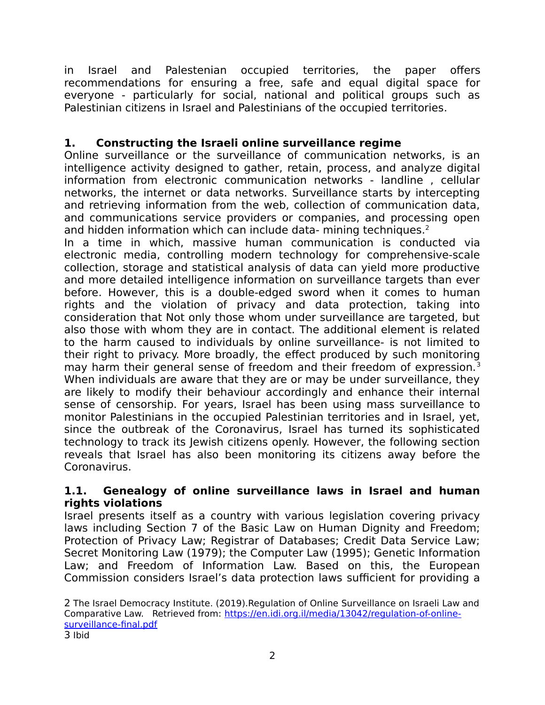in Israel and Palestenian occupied territories, the paper offers recommendations for ensuring a free, safe and equal digital space for everyone - particularly for social, national and political groups such as Palestinian citizens in Israel and Palestinians of the occupied territories.

# **1. Constructing the Israeli online surveillance regime**

Online surveillance or the surveillance of communication networks, is an intelligence activity designed to gather, retain, process, and analyze digital information from electronic communication networks - landline , cellular networks, the internet or data networks. Surveillance starts by intercepting and retrieving information from the web, collection of communication data, and communications service providers or companies, and processing open and hidden information which can include data- mining techniques.<sup>[2](#page-1-0)</sup>

In a time in which, massive human communication is conducted via electronic media, controlling modern technology for comprehensive-scale collection, storage and statistical analysis of data can yield more productive and more detailed intelligence information on surveillance targets than ever before. However, this is a double-edged sword when it comes to human rights and the violation of privacy and data protection, taking into consideration that Not only those whom under surveillance are targeted, but also those with whom they are in contact. The additional element is related to the harm caused to individuals by online surveillance- is not limited to their right to privacy. More broadly, the effect produced by such monitoring may harm their general sense of freedom and their freedom of expression.<sup>[3](#page-1-1)</sup> When individuals are aware that they are or may be under surveillance, they are likely to modify their behaviour accordingly and enhance their internal sense of censorship. For years, Israel has been using mass surveillance to monitor Palestinians in the occupied Palestinian territories and in Israel, yet, since the outbreak of the Coronavirus, Israel has turned its sophisticated technology to track its Jewish citizens openly. However, the following section reveals that Israel has also been monitoring its citizens away before the Coronavirus.

## **1.1. Genealogy of online surveillance laws in Israel and human rights violations**

Israel presents itself as a country with various legislation covering privacy laws including Section 7 of the Basic Law on Human Dignity and Freedom; Protection of Privacy Law; Registrar of Databases; Credit Data Service Law; Secret Monitoring Law (1979); the Computer Law (1995); Genetic Information Law; and Freedom of Information Law. Based on this, the European Commission considers Israel's data protection laws sufficient for providing a

<span id="page-1-1"></span><span id="page-1-0"></span>2 The Israel Democracy Institute. (2019).Regulation of Online Surveillance on Israeli Law and Comparative Law. Retrieved from: [https://en.idi.org.il/media/13042/regulation-of-online](https://en.idi.org.il/media/13042/regulation-of-online-surveillance-final.pdf)[surveillance-final.pdf](https://en.idi.org.il/media/13042/regulation-of-online-surveillance-final.pdf)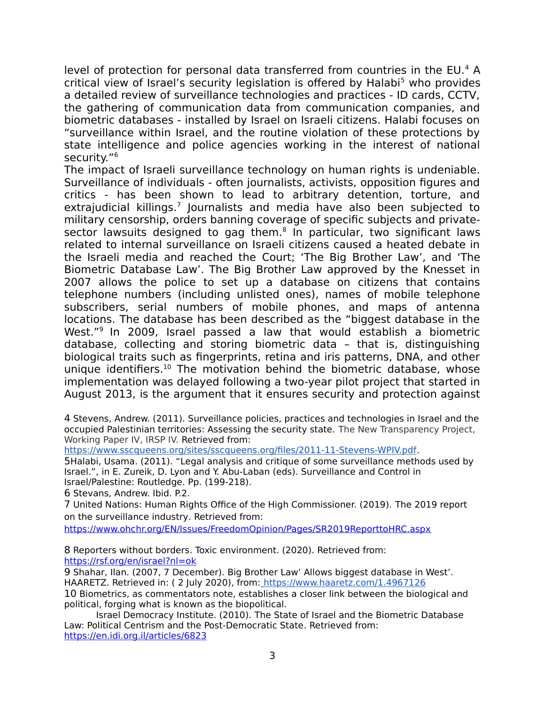level of protection for personal data transferred from countries in the EU.<sup>[4](#page-2-0)</sup> A critical view of Israel's security legislation is offered by Halabi<sup>[5](#page-2-1)</sup> who provides a detailed review of surveillance technologies and practices - ID cards, CCTV, the gathering of communication data from communication companies, and biometric databases - installed by Israel on Israeli citizens. Halabi focuses on "surveillance within Israel, and the routine violation of these protections by state intelligence and police agencies working in the interest of national security."[6](#page-2-2)

The impact of Israeli surveillance technology on human rights is undeniable. Surveillance of individuals - often journalists, activists, opposition figures and critics - has been shown to lead to arbitrary detention, torture, and extrajudicial killings.<sup>[7](#page-2-3)</sup> Journalists and media have also been subjected to military censorship, orders banning coverage of specific subjects and private-sector lawsuits designed to gag them.<sup>[8](#page-2-4)</sup> In particular, two significant laws related to internal surveillance on Israeli citizens caused a heated debate in the Israeli media and reached the Court; 'The Big Brother Law', and 'The Biometric Database Law'. The Big Brother Law approved by the Knesset in 2007 allows the police to set up a database on citizens that contains telephone numbers (including unlisted ones), names of mobile telephone subscribers, serial numbers of mobile phones, and maps of antenna locations. The database has been described as the "biggest database in the West."<sup>[9](#page-2-5)</sup> In 2009, Israel passed a law that would establish a biometric database, collecting and storing biometric data – that is, distinguishing biological traits such as fingerprints, retina and iris patterns, DNA, and other unique identifiers.<sup>[10](#page-2-6)</sup> The motivation behind the biometric database, whose implementation was delayed following a two-year pilot project that started in August 2013, is the argument that it ensures security and protection against

<span id="page-2-0"></span>4 Stevens, Andrew. (2011). Surveillance policies, practices and technologies in Israel and the occupied Palestinian territories: Assessing the security state. The New Transparency Project, Working Paper IV, IRSP IV. Retrieved from:

[https://www.sscqueens.org/sites/sscqueens.org/files/2011-11-Stevens-WPIV.pdf.](https://www.sscqueens.org/sites/sscqueens.org/files/2011-11-Stevens-WPIV.pdf)

<span id="page-2-1"></span>5Halabi, Usama. (2011). "Legal analysis and critique of some surveillance methods used by Israel.", in E. Zureik, D. Lyon and Y. Abu-Laban (eds). Surveillance and Control in Israel/Palestine: Routledge. Pp. (199-218).

<span id="page-2-2"></span>6 Stevans, Andrew. Ibid. P.2.

<span id="page-2-3"></span>7 United Nations: Human Rights Office of the High Commissioner. (2019). The 2019 report on the surveillance industry. Retrieved from:

<https://www.ohchr.org/EN/Issues/FreedomOpinion/Pages/SR2019ReporttoHRC.aspx>

<span id="page-2-4"></span>8 Reporters without borders. Toxic environment. (2020). Retrieved from: <https://rsf.org/en/israel?nl=ok>

<span id="page-2-6"></span><span id="page-2-5"></span>9 Shahar, Ilan. (2007, 7 December). Big Brother Law' Allows biggest database in West'. HAARETZ. Retrieved in: (2 July 2020), from: <https://www.haaretz.com/1.4967126> 10 Biometrics, as commentators note, establishes a closer link between the biological and political, forging what is known as the biopolitical.

Israel Democracy Institute. (2010). The State of Israel and the Biometric Database Law: Political Centrism and the Post-Democratic State. Retrieved from: <https://en.idi.org.il/articles/6823>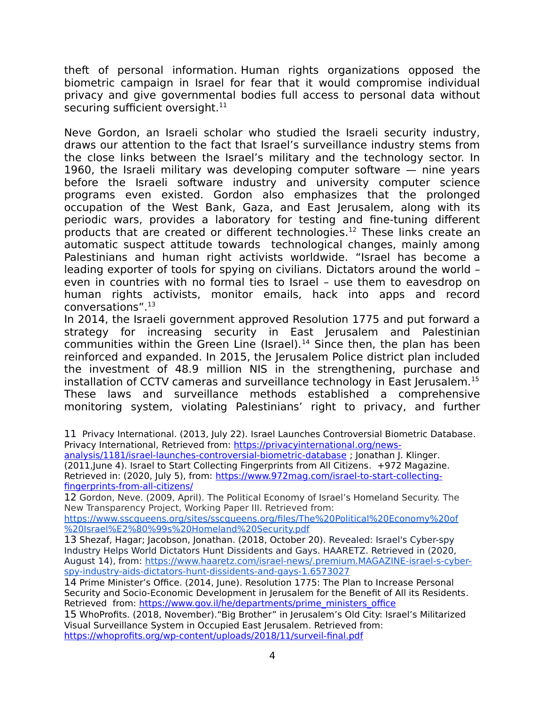theft of personal information. Human rights organizations opposed the biometric campaign in Israel for fear that it would compromise individual privacy and give governmental bodies full access to personal data without securing sufficient oversight.<sup>[11](#page-3-0)</sup>

Neve Gordon, an Israeli scholar who studied the Israeli security industry, draws our attention to the fact that Israel's surveillance industry stems from the close links between the Israel's military and the technology sector. In 1960, the Israeli military was developing computer software — nine years before the Israeli software industry and university computer science programs even existed. Gordon also emphasizes that the prolonged occupation of the West Bank, Gaza, and East Jerusalem, along with its periodic wars, provides a laboratory for testing and fine-tuning different products that are created or different technologies.<sup>[12](#page-3-1)</sup> These links create an automatic suspect attitude towards technological changes, mainly among Palestinians and human right activists worldwide. "Israel has become a leading exporter of tools for spying on civilians. Dictators around the world – even in countries with no formal ties to Israel – use them to eavesdrop on human rights activists, monitor emails, hack into apps and record conversations".[13](#page-3-2)

In 2014, the Israeli government approved Resolution 1775 and put forward a strategy for increasing security in East Jerusalem and Palestinian communities within the Green Line (Israel).<sup>[14](#page-3-3)</sup> Since then, the plan has been reinforced and expanded. In 2015, the Jerusalem Police district plan included the investment of 48.9 million NIS in the strengthening, purchase and installation of CCTV cameras and surveillance technology in East Jerusalem.<sup>[15](#page-3-4)</sup> These laws and surveillance methods established a comprehensive monitoring system, violating Palestinians' right to privacy, and further

<span id="page-3-0"></span>11 Privacy International. (2013, July 22). Israel Launches Controversial Biometric Database. Privacy International, Retrieved from: [https://privacyinternational.org/news-](https://privacyinternational.org/news-analysis/1181/israel-launches-controversial-biometric-database)

[analysis/1181/israel-launches-controversial-biometric-database](https://privacyinternational.org/news-analysis/1181/israel-launches-controversial-biometric-database) ; Jonathan J. Klinger. (2011,June 4). Israel to Start Collecting Fingerprints from All Citizens. +972 Magazine. Retrieved in: (2020, July 5), from: [https://www.972mag.com/israel-to-start-collecting](https://www.972mag.com/israel-to-start-collecting-fingerprints-from-all-citizens/)[fingerprints-from-all-citizens/](https://www.972mag.com/israel-to-start-collecting-fingerprints-from-all-citizens/)

<span id="page-3-1"></span>12 Gordon, Neve. (2009, April). The Political Economy of Israel's Homeland Security. The New Transparency Project, Working Paper III. Retrieved from:

[https://www.sscqueens.org/sites/sscqueens.org/files/The%20Political%20Economy%20of](https://www.sscqueens.org/sites/sscqueens.org/files/The%20Political%20Economy%20of%20Israel%E2%80%99s%20Homeland%20Security.pdf) [%20Israel%E2%80%99s%20Homeland%20Security.pdf](https://www.sscqueens.org/sites/sscqueens.org/files/The%20Political%20Economy%20of%20Israel%E2%80%99s%20Homeland%20Security.pdf)

<span id="page-3-2"></span>13 Shezaf, Hagar; Jacobson, Jonathan. (2018, October 20). Revealed: Israel's Cyber-spy Industry Helps World Dictators Hunt Dissidents and Gays. HAARETZ. Retrieved in (2020, August 14), from: [https://www.haaretz.com/israel-news/.premium.MAGAZINE-israel-s-cyber](https://www.haaretz.com/israel-news/.premium.MAGAZINE-israel-s-cyber-spy-industry-aids-dictators-hunt-dissidents-and-gays-1.6573027)[spy-industry-aids-dictators-hunt-dissidents-and-gays-1.6573027](https://www.haaretz.com/israel-news/.premium.MAGAZINE-israel-s-cyber-spy-industry-aids-dictators-hunt-dissidents-and-gays-1.6573027)

<span id="page-3-3"></span>14 Prime Minister's Office. (2014, June). Resolution 1775: The Plan to Increase Personal Security and Socio-Economic Development in Jerusalem for the Benefit of All its Residents. Retrieved from: [https://www.gov.il/he/departments/prime\\_ministers\\_office](https://www.gov.il/he/departments/prime_ministers_office)

<span id="page-3-4"></span>15 WhoProfits. (2018, November)."Big Brother" in Jerusalem's Old City: Israel's Militarized Visual Surveillance System in Occupied East Jerusalem. Retrieved from: <https://whoprofits.org/wp-content/uploads/2018/11/surveil-final.pdf>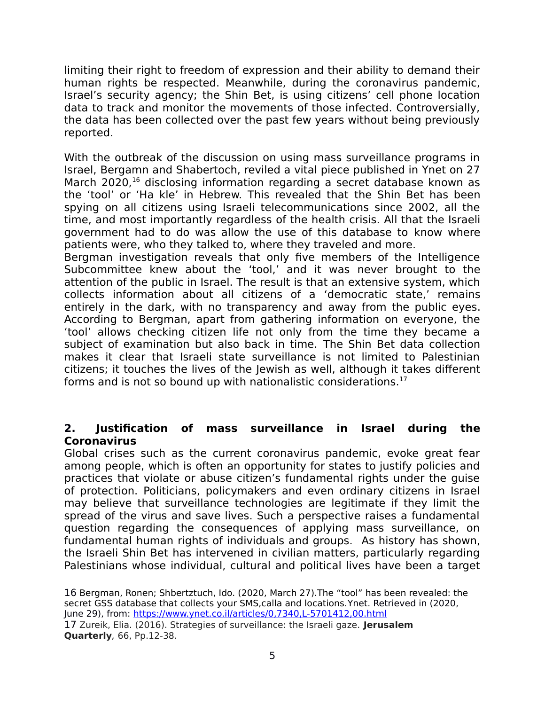limiting their right to freedom of expression and their ability to demand their human rights be respected. Meanwhile, during the coronavirus pandemic, Israel's security agency; the Shin Bet, is using citizens' cell phone location data to track and monitor the movements of those infected. Controversially, the data has been collected over the past few years without being previously reported.

With the outbreak of the discussion on using mass surveillance programs in Israel, Bergamn and Shabertoch, reviled a vital piece published in Ynet on 27 March 2020,<sup>[16](#page-4-0)</sup> disclosing information regarding a secret database known as the 'tool' or 'Ha kle' in Hebrew. This revealed that the Shin Bet has been spying on all citizens using Israeli telecommunications since 2002, all the time, and most importantly regardless of the health crisis. All that the Israeli government had to do was allow the use of this database to know where patients were, who they talked to, where they traveled and more.

Bergman investigation reveals that only five members of the Intelligence Subcommittee knew about the 'tool,' and it was never brought to the attention of the public in Israel. The result is that an extensive system, which collects information about all citizens of a 'democratic state,' remains entirely in the dark, with no transparency and away from the public eyes. According to Bergman, apart from gathering information on everyone, the 'tool' allows checking citizen life not only from the time they became a subject of examination but also back in time. The Shin Bet data collection makes it clear that Israeli state surveillance is not limited to Palestinian citizens; it touches the lives of the Jewish as well, although it takes different forms and is not so bound up with nationalistic considerations.<sup>[17](#page-4-1)</sup>

## **2. Justification of mass surveillance in Israel during the Coronavirus**

Global crises such as the current coronavirus pandemic, evoke great fear among people, which is often an opportunity for states to justify policies and practices that violate or abuse citizen's fundamental rights under the guise of protection. Politicians, policymakers and even ordinary citizens in Israel may believe that surveillance technologies are legitimate if they limit the spread of the virus and save lives. Such a perspective raises a fundamental question regarding the consequences of applying mass surveillance, on fundamental human rights of individuals and groups. As history has shown, the Israeli Shin Bet has intervened in civilian matters, particularly regarding Palestinians whose individual, cultural and political lives have been a target

<span id="page-4-1"></span><span id="page-4-0"></span>16 Bergman, Ronen; Shbertztuch, Ido. (2020, March 27).The "tool" has been revealed: the secret GSS database that collects your SMS,calla and locations.Ynet. Retrieved in (2020, June 29), from:<https://www.ynet.co.il/articles/0,7340,L-5701412,00.html> 17 Zureik, Elia. (2016). Strategies of surveillance: the Israeli gaze. **Jerusalem Quarterly**, 66, Pp.12-38.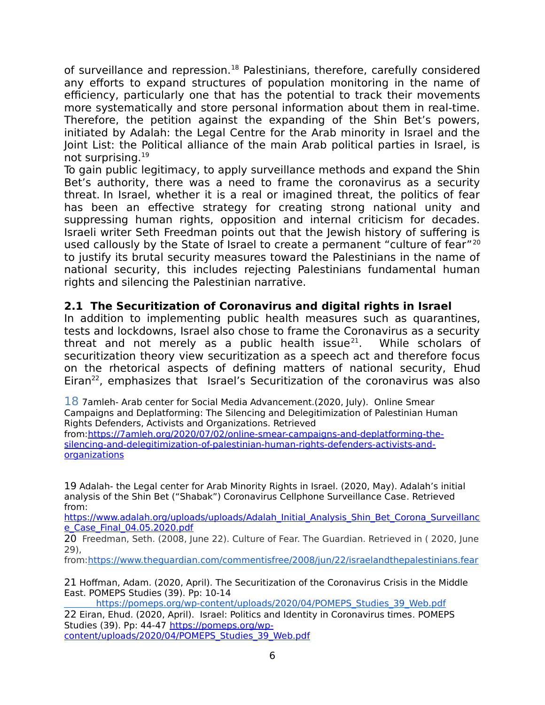of surveillance and repression.<sup>[18](#page-5-0)</sup> Palestinians, therefore, carefully considered any efforts to expand structures of population monitoring in the name of efficiency, particularly one that has the potential to track their movements more systematically and store personal information about them in real-time. Therefore, the petition against the expanding of the Shin Bet's powers, initiated by Adalah: the Legal Centre for the Arab minority in Israel and the Joint List: the Political alliance of the main Arab political parties in Israel, is not surprising.[19](#page-5-1)

To gain public legitimacy, to apply surveillance methods and expand the Shin Bet's authority, there was a need to frame the coronavirus as a security threat. In Israel, whether it is a real or imagined threat, the politics of fear has been an effective strategy for creating strong national unity and suppressing human rights, opposition and internal criticism for decades. Israeli writer Seth Freedman points out that the Jewish history of suffering is used callously by the State of Israel to create a permanent "culture of fear"<sup>[20](#page-5-2)</sup> to justify its brutal security measures toward the Palestinians in the name of national security, this includes rejecting Palestinians fundamental human rights and silencing the Palestinian narrative.

## **2.1 The Securitization of Coronavirus and digital rights in Israel**

In addition to implementing public health measures such as quarantines, tests and lockdowns, Israel also chose to frame the Coronavirus as a security threat and not merely as a public health issue<sup>[21](#page-5-3)</sup>. While scholars of securitization theory view securitization as a speech act and therefore focus on the rhetorical aspects of defining matters of national security, Ehud Eiran<sup>[22](#page-5-4)</sup>, emphasizes that Israel's Securitization of the coronavirus was also

<span id="page-5-0"></span>18 7amleh- Arab center for Social Media Advancement.(2020, July). Online Smear Campaigns and Deplatforming: The Silencing and Delegitimization of Palestinian Human Rights Defenders, Activists and Organizations. Retrieved from[:https://7amleh.org/2020/07/02/online-smear-campaigns-and-deplatforming-the-](https://7amleh.org/2020/07/02/online-smear-campaigns-and-deplatforming-the-silencing-and-delegitimization-of-palestinian-human-rights-defenders-activists-and-organizations)

[silencing-and-delegitimization-of-palestinian-human-rights-defenders-activists-and](https://7amleh.org/2020/07/02/online-smear-campaigns-and-deplatforming-the-silencing-and-delegitimization-of-palestinian-human-rights-defenders-activists-and-organizations)[organizations](https://7amleh.org/2020/07/02/online-smear-campaigns-and-deplatforming-the-silencing-and-delegitimization-of-palestinian-human-rights-defenders-activists-and-organizations)

<span id="page-5-1"></span>19 Adalah- the Legal center for Arab Minority Rights in Israel. (2020, May). Adalah's initial analysis of the Shin Bet ("Shabak") Coronavirus Cellphone Surveillance Case. Retrieved from:

[https://www.adalah.org/uploads/uploads/Adalah\\_Initial\\_Analysis\\_Shin\\_Bet\\_Corona\\_Surveillanc](https://www.adalah.org/uploads/uploads/Adalah_Initial_Analysis_Shin_Bet_Corona_Surveillance_Case_Final_04.05.2020.pdf) [e\\_Case\\_Final\\_04.05.2020.pdf](https://www.adalah.org/uploads/uploads/Adalah_Initial_Analysis_Shin_Bet_Corona_Surveillance_Case_Final_04.05.2020.pdf)

<span id="page-5-2"></span>20 Freedman, Seth. (2008, June 22). Culture of Fear. The Guardian. Retrieved in ( 2020, June 29),

from[:https://www.theguardian.com/commentisfree/2008/jun/22/israelandthepalestinians.fear](https://www.theguardian.com/commentisfree/2008/jun/22/israelandthepalestinians.fear)

<span id="page-5-3"></span>21 Hoffman, Adam. (2020, April). The Securitization of the Coronavirus Crisis in the Middle East. POMEPS Studies (39). Pp: 10-14

<span id="page-5-4"></span>https://pomeps.org/wp-content/uploads/2020/04/POMEPS\_Studies\_39\_Web.pdf 22 Eiran, Ehud. (2020, April). Israel: Politics and Identity in Coronavirus times. POMEPS Studies (39). Pp: 44-47 [https://pomeps.org/wp](https://pomeps.org/wp-content/uploads/2020/04/POMEPS_Studies_39_Web.pdf)[content/uploads/2020/04/POMEPS\\_Studies\\_39\\_Web.pdf](https://pomeps.org/wp-content/uploads/2020/04/POMEPS_Studies_39_Web.pdf)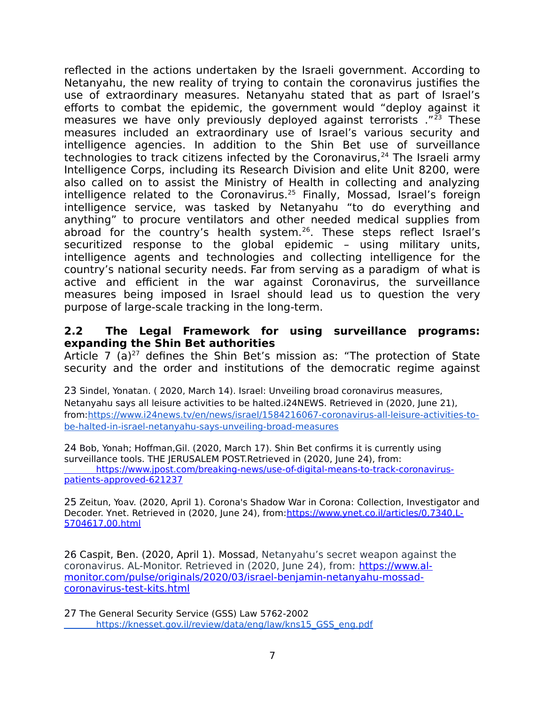reflected in the actions undertaken by the Israeli government. According to Netanyahu, the new reality of trying to contain the coronavirus justifies the use of extraordinary measures. Netanyahu stated that as part of Israel's efforts to combat the epidemic, the government would "deploy against it measures we have only previously deployed against terrorists ."[23](#page-6-0) These measures included an extraordinary use of Israel's various security and intelligence agencies. In addition to the Shin Bet use of surveillance technologies to track citizens infected by the Coronavirus,<sup>[24](#page-6-1)</sup> The Israeli army Intelligence Corps, including its Research Division and elite Unit 8200, were also called on to assist the Ministry of Health in collecting and analyzing intelligence related to the Coronavirus.<sup>[25](#page-6-2)</sup> Finally, Mossad, Israel's foreign intelligence service, was tasked by Netanyahu "to do everything and anything" to procure ventilators and other needed medical supplies from abroad for the country's health system.[26](#page-6-3). These steps reflect Israel's securitized response to the global epidemic – using military units, intelligence agents and technologies and collecting intelligence for the country's national security needs. Far from serving as a paradigm of what is active and efficient in the war against Coronavirus, the surveillance measures being imposed in Israel should lead us to question the very purpose of large-scale tracking in the long-term.

#### **2.2 The Legal Framework for using surveillance programs: expanding the Shin Bet authorities**

Article 7 (a)<sup>[27](#page-6-4)</sup> defines the Shin Bet's mission as: "The protection of State security and the order and institutions of the democratic regime against

<span id="page-6-0"></span>23 Sindel, Yonatan. ( 2020, March 14). Israel: Unveiling broad coronavirus measures, Netanyahu says all leisure activities to be halted.i24NEWS. Retrieved in (2020, June 21), from[:https://www.i24news.tv/en/news/israel/1584216067-coronavirus-all-leisure-activities-to](https://www.i24news.tv/en/news/israel/1584216067-coronavirus-all-leisure-activities-to-be-halted-in-israel-netanyahu-says-unveiling-broad-measures)[be-halted-in-israel-netanyahu-says-unveiling-broad-measures](https://www.i24news.tv/en/news/israel/1584216067-coronavirus-all-leisure-activities-to-be-halted-in-israel-netanyahu-says-unveiling-broad-measures)

<span id="page-6-1"></span>24 Bob, Yonah; Hoffman,Gil. (2020, March 17). Shin Bet confirms it is currently using surveillance tools. THE JERUSALEM POST. Retrieved in (2020, June 24), from:  [https://www.jpost.com/breaking-news/use-of-digital-means-to-track-coronavirus](https://www.jpost.com/breaking-news/use-of-digital-means-to-track-coronavirus-patients-approved-621237)[patients-approved-621237](https://www.jpost.com/breaking-news/use-of-digital-means-to-track-coronavirus-patients-approved-621237)

<span id="page-6-2"></span>25 Zeitun, Yoav. (2020, April 1). Corona's Shadow War in Corona: Collection, Investigator and Decoder. Ynet. Retrieved in (2020, June 24), from[:https://www.ynet.co.il/articles/0,7340,L-](https://www.ynet.co.il/articles/0,7340,L-5704617,00.html)[5704617,00.html](https://www.ynet.co.il/articles/0,7340,L-5704617,00.html)

<span id="page-6-3"></span>26 Caspit, Ben. (2020, April 1). Mossad, Netanyahu's secret weapon against the coronavirus. AL-Monitor. Retrieved in (2020, June 24), from: [https://www.al](https://www.al-monitor.com/pulse/originals/2020/03/israel-benjamin-netanyahu-mossad-coronavirus-test-kits.html)[monitor.com/pulse/originals/2020/03/israel-benjamin-netanyahu-mossad](https://www.al-monitor.com/pulse/originals/2020/03/israel-benjamin-netanyahu-mossad-coronavirus-test-kits.html)[coronavirus-test-kits.html](https://www.al-monitor.com/pulse/originals/2020/03/israel-benjamin-netanyahu-mossad-coronavirus-test-kits.html)

<span id="page-6-4"></span>27 The General Security Service (GSS) Law 5762-2002  [https://knesset.gov.il/review/data/eng/law/kns15\\_GSS\\_eng.pdf](https://knesset.gov.il/review/data/eng/law/kns15_GSS_eng.pdf)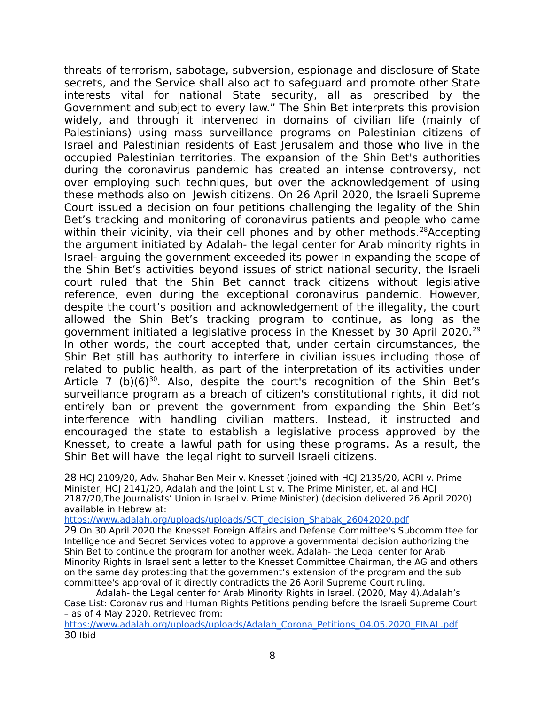threats of terrorism, sabotage, subversion, espionage and disclosure of State secrets, and the Service shall also act to safeguard and promote other State interests vital for national State security, all as prescribed by the Government and subject to every law." The Shin Bet interprets this provision widely, and through it intervened in domains of civilian life (mainly of Palestinians) using mass surveillance programs on Palestinian citizens of Israel and Palestinian residents of East Jerusalem and those who live in the occupied Palestinian territories. The expansion of the Shin Bet's authorities during the coronavirus pandemic has created an intense controversy, not over employing such techniques, but over the acknowledgement of using these methods also on Jewish citizens. On 26 April 2020, the Israeli Supreme Court issued a decision on four petitions challenging the legality of the Shin Bet's tracking and monitoring of coronavirus patients and people who came within their vicinity, via their cell phones and by other methods.<sup>[28](#page-7-0)</sup>Accepting the argument initiated by Adalah- the legal center for Arab minority rights in Israel- arguing the government exceeded its power in expanding the scope of the Shin Bet's activities beyond issues of strict national security, the Israeli court ruled that the Shin Bet cannot track citizens without legislative reference, even during the exceptional coronavirus pandemic. However, despite the court's position and acknowledgement of the illegality, the court allowed the Shin Bet's tracking program to continue, as long as the government initiated a legislative process in the Knesset by 30 April 2020.[29](#page-7-1) In other words, the court accepted that, under certain circumstances, the Shin Bet still has authority to interfere in civilian issues including those of related to public health, as part of the interpretation of its activities under Article 7 (b) $(6)^{30}$  $(6)^{30}$  $(6)^{30}$ . Also, despite the court's recognition of the Shin Bet's surveillance program as a breach of citizen's constitutional rights, it did not entirely ban or prevent the government from expanding the Shin Bet's interference with handling civilian matters. Instead, it instructed and encouraged the state to establish a legislative process approved by the Knesset, to create a lawful path for using these programs. As a result, the Shin Bet will have the legal right to surveil Israeli citizens.

<span id="page-7-0"></span>28 HCJ 2109/20, Adv. Shahar Ben Meir v. Knesset (joined with HCJ 2135/20, ACRI v. Prime Minister, HCJ 2141/20, Adalah and the Joint List v. The Prime Minister, et. al and HCJ 2187/20,The Journalists' Union in Israel v. Prime Minister) (decision delivered 26 April 2020) available in Hebrew at:

[https://www.adalah.org/uploads/uploads/SCT\\_decision\\_Shabak\\_26042020.pdf](https://www.adalah.org/uploads/uploads/SCT_decision_Shabak_26042020.pdf)

<span id="page-7-1"></span>29 On 30 April 2020 the Knesset Foreign Affairs and Defense Committee's Subcommittee for Intelligence and Secret Services voted to approve a governmental decision authorizing the Shin Bet to continue the program for another week. Adalah- the Legal center for Arab Minority Rights in Israel sent a letter to the Knesset Committee Chairman, the AG and others on the same day protesting that the government's extension of the program and the sub committee's approval of it directly contradicts the 26 April Supreme Court ruling.

Adalah- the Legal center for Arab Minority Rights in Israel. (2020, May 4).Adalah's Case List: Coronavirus and Human Rights Petitions pending before the Israeli Supreme Court – as of 4 May 2020. Retrieved from:

<span id="page-7-2"></span>[https://www.adalah.org/uploads/uploads/Adalah\\_Corona\\_Petitions\\_04.05.2020\\_FINAL.pdf](https://www.adalah.org/uploads/uploads/Adalah_Corona_Petitions_04.05.2020_FINAL.pdf) 30 Ibid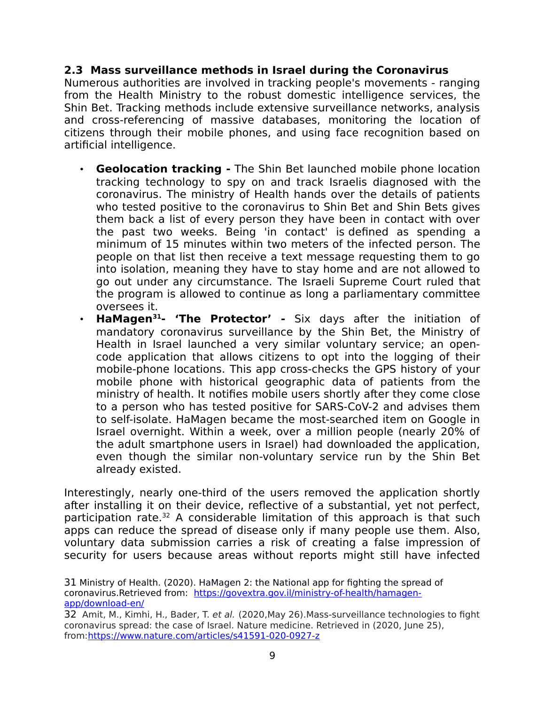## **2.3 Mass surveillance methods in Israel during the Coronavirus**

Numerous authorities are involved in tracking people's movements - ranging from the Health Ministry to the robust domestic intelligence services, the Shin Bet. Tracking methods include extensive surveillance networks, analysis and cross-referencing of massive databases, monitoring the location of citizens through their mobile phones, and using face recognition based on artificial intelligence.

- **Geolocation tracking -** The Shin Bet launched mobile phone location tracking technology to spy on and track Israelis diagnosed with the coronavirus. The ministry of Health hands over the details of patients who tested positive to the coronavirus to Shin Bet and Shin Bets gives them back a list of every person they have been in contact with over the past two weeks. Being 'in contact' is [defined as spending a](https://www.haaretz.com/israel-news/.premium-israeli-doctors-warn-shin-bet-surveillance-hindering-efforts-to-combat-coronavirus-1.8714359) [minimum of 15 minutes within two meters](https://www.haaretz.com/israel-news/.premium-israeli-doctors-warn-shin-bet-surveillance-hindering-efforts-to-combat-coronavirus-1.8714359) of the infected person. The people on that list then receive a text message requesting them to go into isolation, meaning they have to stay home and are not allowed to go out under any circumstance. The Israeli Supreme Court ruled that the program is allowed to continue as long a parliamentary committee oversees it.
- **HaMagen[31](#page-8-0) 'The Protector' -** Six days after the initiation of mandatory coronavirus surveillance by the Shin Bet, the Ministry of Health in Israel launched a very similar voluntary service; an opencode application that allows citizens to opt into the logging of their mobile-phone locations. This app cross-checks the GPS history of your mobile phone with historical geographic data of patients from the ministry of health. It notifies mobile users shortly after they come close to a person who has tested positive for SARS-CoV-2 and advises them to self-isolate. HaMagen became the most-searched item on Google in Israel overnight. Within a week, over a million people (nearly 20% of the adult smartphone users in Israel) had downloaded the application, even though the similar non-voluntary service run by the Shin Bet already existed.

Interestingly, nearly one-third of the users removed the application shortly after installing it on their device, reflective of a substantial, yet not perfect, participation rate.<sup>[32](#page-8-1)</sup> A considerable limitation of this approach is that such apps can reduce the spread of disease only if many people use them. Also, voluntary data submission carries a risk of creating a false impression of security for users because areas without reports might still have infected

<span id="page-8-0"></span>31 Ministry of Health. (2020). HaMagen 2: the National app for fighting the spread of coronavirus.Retrieved from: [https://govextra.gov.il/ministry-of-health/hamagen](https://govextra.gov.il/ministry-of-health/hamagen-app/download-en/)[app/download-en/](https://govextra.gov.il/ministry-of-health/hamagen-app/download-en/)

<span id="page-8-1"></span><sup>32</sup> Amit, M., Kimhi, H., Bader, T. et al. (2020,May 26).Mass-surveillance technologies to fight coronavirus spread: the case of Israel. Nature medicine. Retrieved in (2020, June 25), from[:https://www.nature.com/articles/s41591-020-0927-z](https://www.nature.com/articles/s41591-020-0927-z)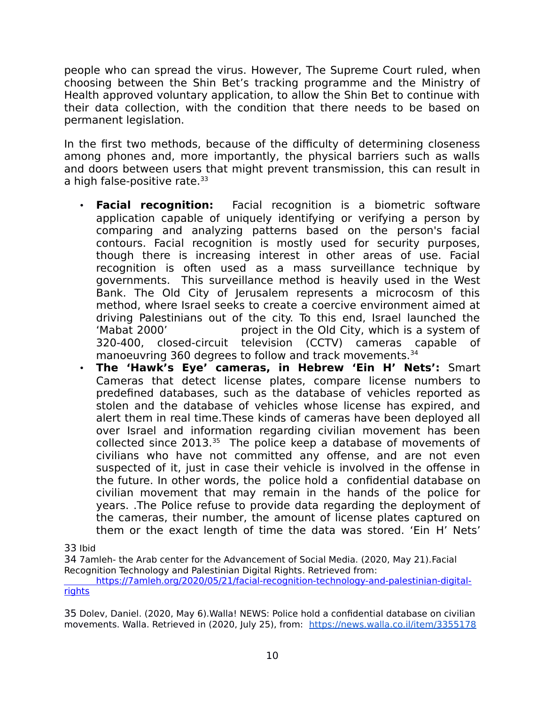people who can spread the virus. However, The Supreme Court ruled, when choosing between the Shin Bet's tracking programme and the Ministry of Health approved voluntary application, to allow the Shin Bet to continue with their data collection, with the condition that there needs to be based on permanent legislation.

In the first two methods, because of the difficulty of determining closeness among phones and, more importantly, the physical barriers such as walls and doors between users that might prevent transmission, this can result in a high false-positive rate. $33$ 

- **Facial recognition:** Facial recognition is a biometric software application capable of uniquely identifying or verifying a person by comparing and analyzing patterns based on the person's facial contours. Facial recognition is mostly used for security purposes, though there is increasing interest in other areas of use. Facial recognition is often used as a mass surveillance technique by governments. This surveillance method is heavily used in the West Bank. The Old City of Jerusalem represents a microcosm of this method, where Israel seeks to create a coercive environment aimed at driving Palestinians out of the city. To this end, Israel launched the 'Mabat 2000' project in the Old City, which is a system of 320-400, closed-circuit television (CCTV) cameras capable of manoeuvring 360 degrees to follow and track movements.<sup>[34](#page-9-1)</sup>
- **The 'Hawk's Eye' cameras, in Hebrew 'Ein H' Nets':** Smart Cameras that detect license plates, compare license numbers to predefined databases, such as the database of vehicles reported as stolen and the database of vehicles whose license has expired, and alert them in real time.These kinds of cameras have been deployed all over Israel and information regarding civilian movement has been collected since  $2013^{35}$  $2013^{35}$  $2013^{35}$  The police keep a database of movements of civilians who have not committed any offense, and are not even suspected of it, just in case their vehicle is involved in the offense in the future. In other words, the police hold a confidential database on civilian movement that may remain in the hands of the police for years. .The Police refuse to provide data regarding the deployment of the cameras, their number, the amount of license plates captured on them or the exact length of time the data was stored. 'Ein H' Nets'

<span id="page-9-0"></span>33 Ibid

<span id="page-9-1"></span>34 7amleh- the Arab center for the Advancement of Social Media. (2020, May 21).Facial Recognition Technology and Palestinian Digital Rights. Retrieved from:

 [https://7amleh.org/2020/05/21/facial-recognition-technology-and-palestinian-digital](https://7amleh.org/2020/05/21/facial-recognition-technology-and-palestinian-digital-rights)[rights](https://7amleh.org/2020/05/21/facial-recognition-technology-and-palestinian-digital-rights)

<span id="page-9-2"></span>35 Dolev, Daniel. (2020, May 6).Walla! NEWS: Police hold a confidential database on civilian movements. Walla. Retrieved in (2020, July 25), from: <https://news.walla.co.il/item/3355178>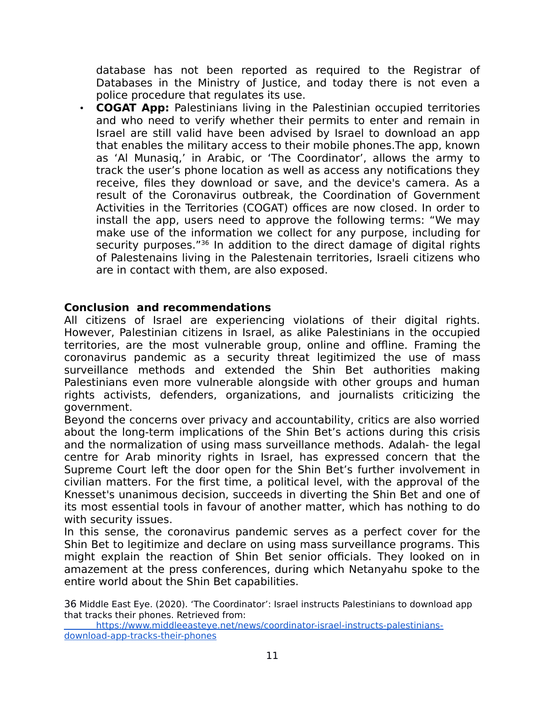database has not been reported as required to the Registrar of Databases in the Ministry of Justice, and today there is not even a police procedure that regulates its use.

• **COGAT App:** Palestinians living in the Palestinian occupied territories and who need to verify whether their permits to enter and remain in Israel are still valid have been advised by Israel to download an app that enables the military access to their mobile phones.The app, known as 'Al Munasiq,' in Arabic, or 'The Coordinator', allows the army to track the user's phone location as well as access any notifications they receive, files they download or save, and the device's camera. As a result of the Coronavirus outbreak, the Coordination of Government Activities in the Territories (COGAT) offices are now closed. In order to install the app, users need to approve the following terms: "We may make use of the information we collect for any purpose, including for security purposes.<sup>"[36](#page-10-0)</sup> In addition to the direct damage of digital rights of Palestenains living in the Palestenain territories, Israeli citizens who are in contact with them, are also exposed.

#### **Conclusion and recommendations**

All citizens of Israel are experiencing violations of their digital rights. However, Palestinian citizens in Israel, as alike Palestinians in the occupied territories, are the most vulnerable group, online and offline. Framing the coronavirus pandemic as a security threat legitimized the use of mass surveillance methods and extended the Shin Bet authorities making Palestinians even more vulnerable alongside with other groups and human rights activists, defenders, organizations, and journalists criticizing the government.

Beyond the concerns over privacy and accountability, critics are also worried about the long-term implications of the Shin Bet's actions during this crisis and the normalization of using mass surveillance methods. Adalah- the legal centre for Arab minority rights in Israel, has expressed concern that the Supreme Court left the door open for the Shin Bet's further involvement in civilian matters. For the first time, a political level, with the approval of the Knesset's unanimous decision, succeeds in diverting the Shin Bet and one of its most essential tools in favour of another matter, which has nothing to do with security issues.

In this sense, the coronavirus pandemic serves as a perfect cover for the Shin Bet to legitimize and declare on using mass surveillance programs. This might explain the reaction of Shin Bet senior officials. They looked on in amazement at the press conferences, during which Netanyahu spoke to the entire world about the Shin Bet capabilities.

<span id="page-10-0"></span>36 Middle East Eye. (2020). 'The Coordinator': Israel instructs Palestinians to download app that tracks their phones. Retrieved from:

 [https://www.middleeasteye.net/news/coordinator-israel-instructs-palestinians](https://www.middleeasteye.net/news/coordinator-israel-instructs-palestinians-download-app-tracks-their-phones)[download-app-tracks-their-phones](https://www.middleeasteye.net/news/coordinator-israel-instructs-palestinians-download-app-tracks-their-phones)